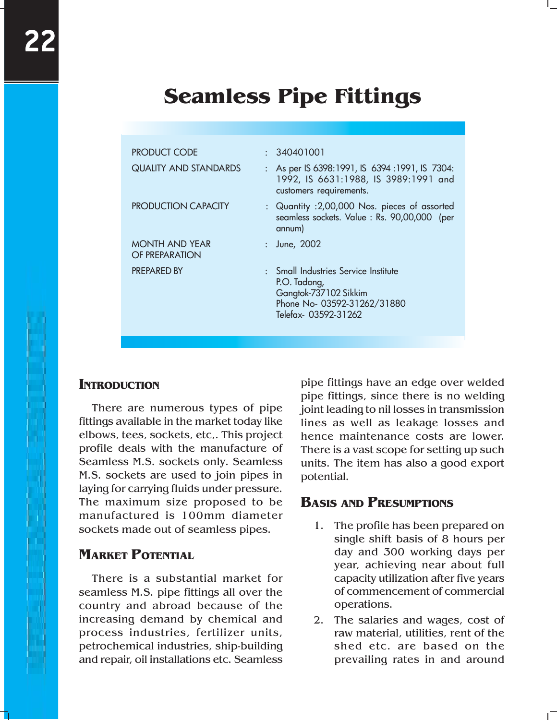# **Seamless Pipe Fittings**

| <b>PRODUCT CODE</b>                     | : 340401001                                                                                                                         |
|-----------------------------------------|-------------------------------------------------------------------------------------------------------------------------------------|
| <b>QUALITY AND STANDARDS</b>            | : As per IS 6398:1991, IS 6394 :1991, IS 7304:<br>1992, IS 6631:1988, IS 3989:1991 and<br>customers requirements.                   |
| <b>PRODUCTION CAPACITY</b>              | : Quantity : 2,00,000 Nos. pieces of assorted<br>seamless sockets. Value: Rs. 90,00,000 (per<br>annum)                              |
| <b>MONTH AND YEAR</b><br>OF PREPARATION | : June, 2002                                                                                                                        |
| <b>PREPARED BY</b>                      | : Small Industries Service Institute<br>P.O. Tadong,<br>Gangtok-737102 Sikkim<br>Phone No- 03592-31262/31880<br>Telefax-03592-31262 |

### **INTRODUCTION**

There are numerous types of pipe fittings available in the market today like elbows, tees, sockets, etc,. This project profile deals with the manufacture of Seamless M.S. sockets only. Seamless M.S. sockets are used to join pipes in laying for carrying fluids under pressure. The maximum size proposed to be manufactured is 100mm diameter sockets made out of seamless pipes.

# **MARKET POTENTIAL**

There is a substantial market for seamless M.S. pipe fittings all over the country and abroad because of the increasing demand by chemical and process industries, fertilizer units, petrochemical industries, ship-building and repair, oil installations etc. Seamless

pipe fittings have an edge over welded pipe fittings, since there is no welding joint leading to nil losses in transmission lines as well as leakage losses and hence maintenance costs are lower. There is a vast scope for setting up such units. The item has also a good export potential.

# **BASIS AND PRESUMPTIONS**

- 1. The profile has been prepared on single shift basis of 8 hours per day and 300 working days per year, achieving near about full capacity utilization after five years of commencement of commercial operations.
- 2. The salaries and wages, cost of raw material, utilities, rent of the shed etc. are based on the prevailing rates in and around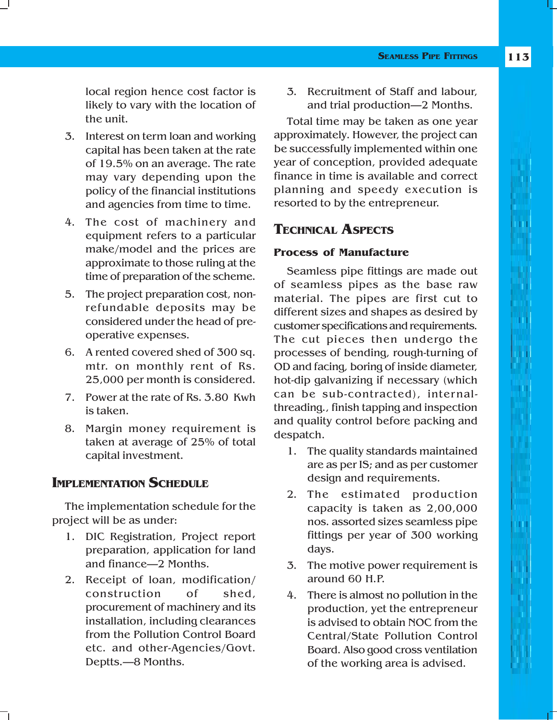local region hence cost factor is likely to vary with the location of the unit.

- 3. Interest on term loan and working capital has been taken at the rate of 19.5% on an average. The rate may vary depending upon the policy of the financial institutions and agencies from time to time.
- 4. The cost of machinery and equipment refers to a particular make/model and the prices are approximate to those ruling at the time of preparation of the scheme.
- 5. The project preparation cost, nonrefundable deposits may be considered under the head of preoperative expenses.
- 6. A rented covered shed of 300 sq. mtr. on monthly rent of Rs. 25,000 per month is considered.
- 7. Power at the rate of Rs. 3.80 Kwh is taken.
- 8. Margin money requirement is taken at average of 25% of total capital investment.

# **IMPLEMENTATION SCHEDULE**

The implementation schedule for the project will be as under:

- 1. DIC Registration, Project report preparation, application for land and finance—2 Months.
- 2. Receipt of loan, modification/ construction of shed, procurement of machinery and its installation, including clearances from the Pollution Control Board etc. and other-Agencies/Govt. Deptts.—8 Months.

3. Recruitment of Staff and labour, and trial production—2 Months.

Total time may be taken as one year approximately. However, the project can be successfully implemented within one year of conception, provided adequate finance in time is available and correct planning and speedy execution is resorted to by the entrepreneur.

# **TECHNICAL ASPECTS**

### **Process of Manufacture**

Seamless pipe fittings are made out of seamless pipes as the base raw material. The pipes are first cut to different sizes and shapes as desired by customer specifications and requirements. The cut pieces then undergo the processes of bending, rough-turning of OD and facing, boring of inside diameter, hot-dip galvanizing if necessary (which can be sub-contracted), internalthreading., finish tapping and inspection and quality control before packing and despatch.

- 1. The quality standards maintained are as per IS; and as per customer design and requirements.
- 2. The estimated production capacity is taken as 2,00,000 nos. assorted sizes seamless pipe fittings per year of 300 working days.
- 3. The motive power requirement is around 60 H.P.
- 4. There is almost no pollution in the production, yet the entrepreneur is advised to obtain NOC from the Central/State Pollution Control Board. Also good cross ventilation of the working area is advised.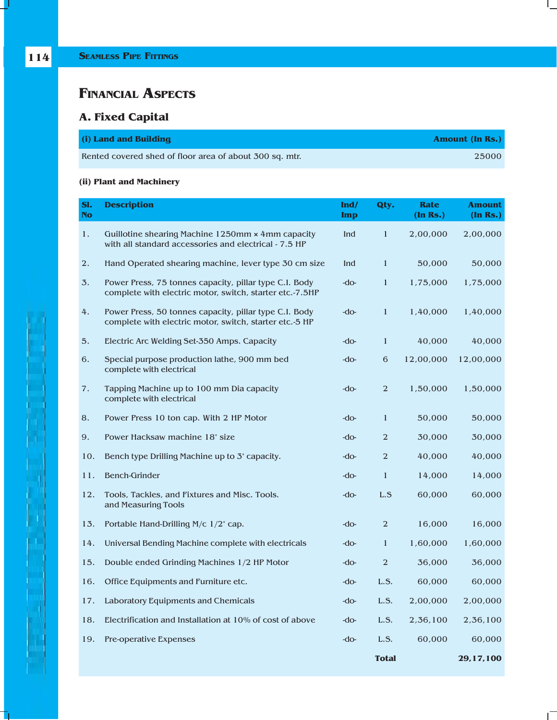ť

T.

# **FINANCIAL ASPECTS**

# **A. Fixed Capital**

| (i) Land and Building                                   | <b>Amount (In Rs.)</b> |
|---------------------------------------------------------|------------------------|
| Rented covered shed of floor area of about 300 sq. mtr. | 25000                  |

### **(ii) Plant and Machinery**

| SI.<br><b>No</b> | <b>Description</b>                                                                                                 | Ind/<br><b>Imp</b> | Qty.           | <b>Rate</b><br>$(In$ $Rs.)$ | <b>Amount</b><br>(In Rs.) |
|------------------|--------------------------------------------------------------------------------------------------------------------|--------------------|----------------|-----------------------------|---------------------------|
| 1.               | Guillotine shearing Machine 1250mm x 4mm capacity<br>with all standard accessories and electrical - 7.5 HP         | Ind                | $\mathbf{1}$   | 2,00,000                    | 2,00,000                  |
| 2.               | Hand Operated shearing machine, lever type 30 cm size                                                              | Ind                | $\mathbf{1}$   | 50,000                      | 50,000                    |
| 3.               | Power Press, 75 tonnes capacity, pillar type C.I. Body<br>complete with electric motor, switch, starter etc.-7.5HP | $-do-$             | $\mathbf{1}$   | 1,75,000                    | 1,75,000                  |
| 4.               | Power Press, 50 tonnes capacity, pillar type C.I. Body<br>complete with electric motor, switch, starter etc.-5 HP  | $-do-$             | $\mathbf{1}$   | 1,40,000                    | 1,40,000                  |
| 5.               | Electric Arc Welding Set-350 Amps. Capacity                                                                        | $-do-$             | $\mathbf{1}$   | 40,000                      | 40,000                    |
| 6.               | Special purpose production lathe, 900 mm bed<br>complete with electrical                                           | -do-               | 6              | 12,00,000                   | 12,00,000                 |
| 7.               | Tapping Machine up to 100 mm Dia capacity<br>complete with electrical                                              | $-do-$             | $\overline{2}$ | 1,50,000                    | 1,50,000                  |
| 8.               | Power Press 10 ton cap. With 2 HP Motor                                                                            | - $d$ o-           | 1              | 50,000                      | 50,000                    |
| 9.               | Power Hacksaw machine 18" size                                                                                     | $-do-$             | $\overline{2}$ | 30,000                      | 30,000                    |
| 10.              | Bench type Drilling Machine up to 3 capacity.                                                                      | $-do-$             | $\overline{2}$ | 40,000                      | 40,000                    |
| 11.              | <b>Bench-Grinder</b>                                                                                               | - $d$ o-           | $\mathbf{1}$   | 14,000                      | 14,000                    |
| 12.              | Tools, Tackles, and Fixtures and Misc. Tools.<br>and Measuring Tools                                               | - $d$ o-           | L.S            | 60,000                      | 60,000                    |
| 13.              | Portable Hand-Drilling M/c 1/2" cap.                                                                               | -do-               | 2              | 16,000                      | 16,000                    |
| 14.              | Universal Bending Machine complete with electricals                                                                | -do-               | $\mathbf{1}$   | 1,60,000                    | 1,60,000                  |
| 15.              | Double ended Grinding Machines 1/2 HP Motor                                                                        | - $d$ o-           | $\overline{2}$ | 36,000                      | 36,000                    |
| 16.              | Office Equipments and Furniture etc.                                                                               | $-d$ o-            | L.S.           | 60,000                      | 60,000                    |
| 17.              | Laboratory Equipments and Chemicals                                                                                | $-do-$             | L.S.           | 2,00,000                    | 2,00,000                  |
| 18.              | Electrification and Installation at 10% of cost of above                                                           | -do-               | L.S.           | 2,36,100                    | 2,36,100                  |
| 19.              | Pre-operative Expenses                                                                                             | $-do-$             | L.S.           | 60,000                      | 60,000                    |
|                  |                                                                                                                    |                    | <b>Total</b>   |                             | 29,17,100                 |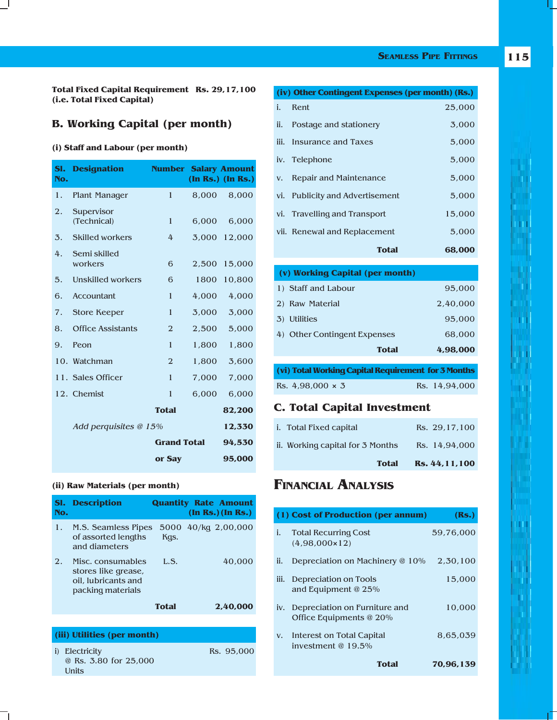#### **SEAMLESS PIPE FITTINGS**

**115**

**Total Fixed Capital Requirement Rs. 29,17,100 (i.e. Total Fixed Capital)**

### **B. Working Capital (per month)**

#### **(i) Staff and Labour (per month)**

 $\Box$ 

| SI.<br>No. | <b>Designation</b>        | <b>Number Salary Amount</b> |       | (In Rs.) (In Rs.) |
|------------|---------------------------|-----------------------------|-------|-------------------|
| 1.         | <b>Plant Manager</b>      | 1                           | 8,000 | 8,000             |
| 2.         | Supervisor<br>(Technical) | $\mathbf{1}$                | 6,000 | 6,000             |
| 3.         | <b>Skilled workers</b>    | 4                           | 3,000 | 12,000            |
| 4.         | Semi skilled<br>workers   | 6                           | 2,500 | 15,000            |
| 5.         | Unskilled workers         | 6                           | 1800  | 10,800            |
| 6.         | <b>Accountant</b>         | 1                           | 4,000 | 4,000             |
| 7.         | Store Keeper              | 1                           | 3.000 | 3,000             |
| 8.         | <b>Office Assistants</b>  | $\overline{2}$              | 2,500 | 5,000             |
| 9.         | Peon                      | $\mathbf{1}$                | 1,800 | 1,800             |
|            | 10. Watchman              | $\overline{2}$              | 1,800 | 3,600             |
|            | 11. Sales Officer         | 1                           | 7,000 | 7,000             |
|            | 12. Chemist               | 1                           | 6,000 | 6,000             |
|            |                           | <b>Total</b>                |       | 82,200            |
|            | Add perquisites @ 15%     |                             |       | 12,330            |
|            |                           | <b>Grand Total</b>          |       | 94,530            |
|            |                           | or Say                      |       | 95,000            |

#### **(ii) Raw Materials (per month)**

| SI.<br>No. | <b>Description</b>                                                                   |              | <b>Quantity Rate Amount</b><br>(In Rs.) (In Rs.) |
|------------|--------------------------------------------------------------------------------------|--------------|--------------------------------------------------|
| 1.         | M.S. Seamless Pipes 5000 40/kg 2,00,000<br>of assorted lengths<br>and diameters      | Kas.         |                                                  |
| 2.         | Misc. consumables<br>stores like grease,<br>oil, lubricants and<br>packing materials | L.S.         | 40,000                                           |
|            |                                                                                      | <b>Total</b> | 2,40,000                                         |

#### **(iii) Utilities (per month)** i) Electricity Rs. 95,000 @ Rs. 3.80 for 25,000 Units

|    | (iv) Other Contingent Expenses (per month) (Rs.) |        |  |  |
|----|--------------------------------------------------|--------|--|--|
| i. | Rent                                             | 25,000 |  |  |
|    | ii. Postage and stationery                       | 3,000  |  |  |
|    | iii. Insurance and Taxes                         | 5,000  |  |  |
|    | iv. Telephone                                    | 5,000  |  |  |
|    | v. Repair and Maintenance                        | 5,000  |  |  |
|    | vi. Publicity and Advertisement                  | 5,000  |  |  |
|    | vi. Travelling and Transport                     | 15,000 |  |  |
|    | vii. Renewal and Replacement                     | 5,000  |  |  |
|    | <b>Total</b>                                     | 68,000 |  |  |

| (v) Working Capital (per month) |              |          |
|---------------------------------|--------------|----------|
| 1) Staff and Labour             |              | 95,000   |
| 2) Raw Material                 |              | 2.40.000 |
| 3) Utilities                    |              | 95,000   |
| 4) Other Contingent Expenses    |              | 68,000   |
|                                 | <b>Total</b> | 4.98,000 |
|                                 |              |          |

|                         | (vi) Total Working Capital Requirement for 3 Months |               |
|-------------------------|-----------------------------------------------------|---------------|
| Rs. $4.98.000 \times 3$ |                                                     | Rs. 14.94.000 |

### **C. Total Capital Investment**

| <b>Total</b>                     | Rs. 44, 11, 100 |
|----------------------------------|-----------------|
| ii. Working capital for 3 Months | Rs. 14,94,000   |
| i.   Total Fixed capital         | Rs. 29.17.100   |

### **FINANCIAL ANALYSIS**

|      | (1) Cost of Production (per annum)                       | (Rs.)     |
|------|----------------------------------------------------------|-----------|
| i.   | <b>Total Recurring Cost</b><br>$(4.98.000 \times 12)$    | 59,76,000 |
| ii.  | Depreciation on Machinery @ 10%                          | 2.30.100  |
| iii. | Depreciation on Tools<br>and Equipment @ 25%             | 15,000    |
| iv.  | Depreciation on Furniture and<br>Office Equipments @ 20% | 10,000    |
| V.   | Interest on Total Capital<br>investment @ $19.5\%$       | 8,65,039  |
|      | Total                                                    | 70.96.139 |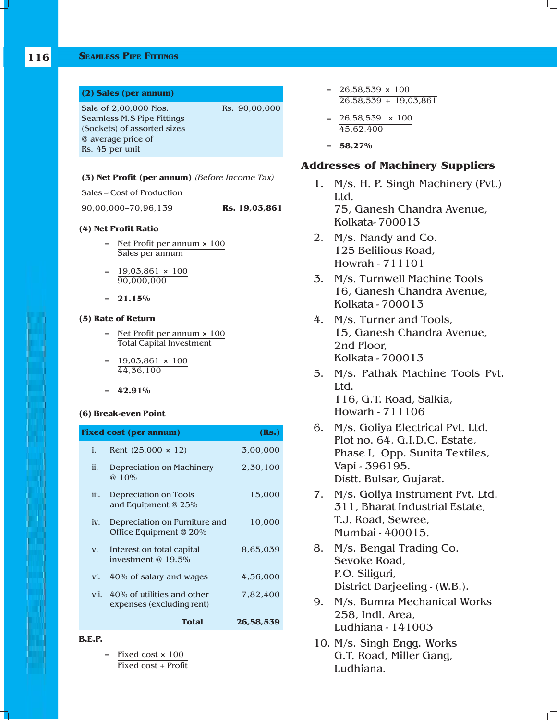#### **SEAMLESS PIPE FITTINGS**

| (2) Sales (per annum)       |               |
|-----------------------------|---------------|
| Sale of 2,00,000 Nos.       | Rs. 90,00,000 |
| Seamless M.S Pipe Fittings  |               |
| (Sockets) of assorted sizes |               |
| @ average price of          |               |
| Rs. 45 per unit             |               |

#### **(3) Net Profit (per annum)** (Before Income Tax)

Sales – Cost of Production

90,00,000–70,96,139 **Rs. 19,03,861**

#### **(4) Net Profit Ratio**

- = Net Profit per annum **×** 100 Sales per annum
- = 19,03,861 **×** 100 90,000,000
- = **21.15%**

#### **(5) Rate of Return**

- = Net Profit per annum **×** 100 Total Capital Investment
- = 19,03,861 **×** 100 44,36,100
- = **42.91%**

#### **(6) Break-even Point**

|      | <b>Fixed cost (per annum)</b>                           | (Rs.)     |
|------|---------------------------------------------------------|-----------|
| i.   | Rent $(25,000 \times 12)$                               | 3,00,000  |
| ii.  | Depreciation on Machinery<br>$@10\%$                    | 2,30,100  |
| iii. | Depreciation on Tools<br>and Equipment @ 25%            | 15,000    |
| iv.  | Depreciation on Furniture and<br>Office Equipment @ 20% | 10,000    |
| V.   | Interest on total capital<br>investment $@19.5\%$       | 8,65,039  |
| vi.  | 40% of salary and wages                                 | 4,56,000  |
| vii. | 40% of utilities and other<br>expenses (excluding rent) | 7.82.400  |
|      | <b>Total</b>                                            | 26,58,539 |
|      |                                                         |           |

- **B.E.P.**
	- = Fixed cost **×** 100 Fixed cost + Profit
- $= 26,58,539 \times 100$  $26,58,539 + 19,03,861$
- $= 26,58,539 \times 100$ 45,62,400
- = **58.27%**

#### **Addresses of Machinery Suppliers**

- 1. M/s. H. P. Singh Machinery (Pvt.) Ltd. 75, Ganesh Chandra Avenue, Kolkata- 700013
- 2. M/s. Nandy and Co. 125 Belilious Road, Howrah - 711101
- 3. M/s. Turnwell Machine Tools 16, Ganesh Chandra Avenue, Kolkata - 700013
- 4. M/s. Turner and Tools, 15, Ganesh Chandra Avenue, 2nd Floor, Kolkata - 700013
- 5. M/s. Pathak Machine Tools Pvt. Ltd. 116, G.T. Road, Salkia, Howarh - 711106
- 6. M/s. Goliya Electrical Pvt. Ltd. Plot no. 64, G.I.D.C. Estate, Phase I, Opp. Sunita Textiles, Vapi - 396195. Distt. Bulsar, Gujarat.
- 7. M/s. Goliya Instrument Pvt. Ltd. 311, Bharat Industrial Estate, T.J. Road, Sewree, Mumbai - 400015.
- 8. M/s. Bengal Trading Co. Sevoke Road, P.O. Siliguri, District Darjeeling - (W.B.).
- 9. M/s. Bumra Mechanical Works 258, Indl. Area, Ludhiana - 141003
- 10. M/s. Singh Engg. Works G.T. Road, Miller Gang, Ludhiana.